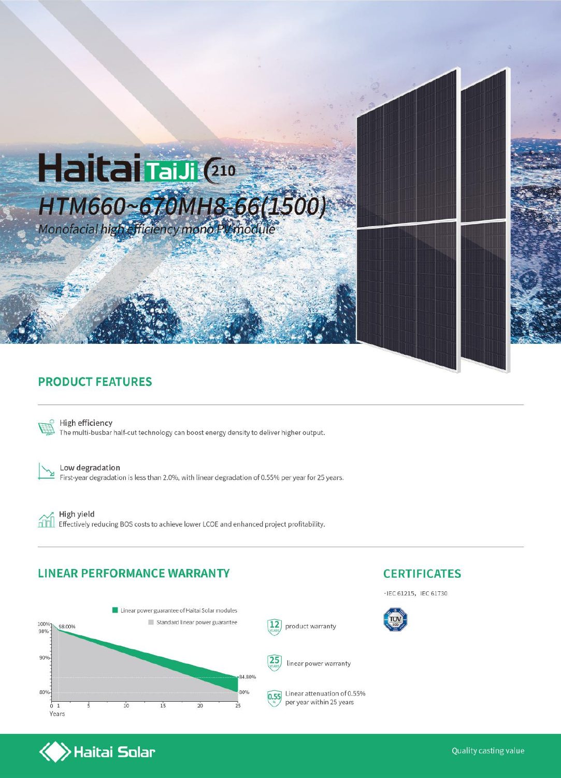

### **PRODUCT FEATURES**



High efficiency The multi-busbar half-cut technology can boost energy density to deliver higher output.

Low degradation First-year degradation is less than 2.0%, with linear degradation of 0.55% per year for 25 years.

High yield ńm Effectively reducing BOS costs to achieve lower LCOE and enhanced project profitability.

#### **LINEAR PERFORMANCE WARRANTY**



# **CERTIFICATES**

· IEC 61215, IEC 61730